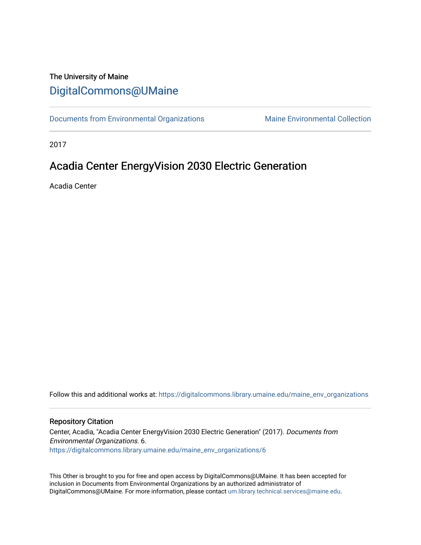#### The University of Maine [DigitalCommons@UMaine](https://digitalcommons.library.umaine.edu/)

[Documents from Environmental Organizations](https://digitalcommons.library.umaine.edu/maine_env_organizations) Maine Environmental Collection

2017

#### Acadia Center EnergyVision 2030 Electric Generation

Acadia Center

Follow this and additional works at: [https://digitalcommons.library.umaine.edu/maine\\_env\\_organizations](https://digitalcommons.library.umaine.edu/maine_env_organizations?utm_source=digitalcommons.library.umaine.edu%2Fmaine_env_organizations%2F6&utm_medium=PDF&utm_campaign=PDFCoverPages)

#### Repository Citation

Center, Acadia, "Acadia Center EnergyVision 2030 Electric Generation" (2017). Documents from Environmental Organizations. 6. [https://digitalcommons.library.umaine.edu/maine\\_env\\_organizations/6](https://digitalcommons.library.umaine.edu/maine_env_organizations/6?utm_source=digitalcommons.library.umaine.edu%2Fmaine_env_organizations%2F6&utm_medium=PDF&utm_campaign=PDFCoverPages) 

This Other is brought to you for free and open access by DigitalCommons@UMaine. It has been accepted for inclusion in Documents from Environmental Organizations by an authorized administrator of DigitalCommons@UMaine. For more information, please contact [um.library.technical.services@maine.edu](mailto:um.library.technical.services@maine.edu).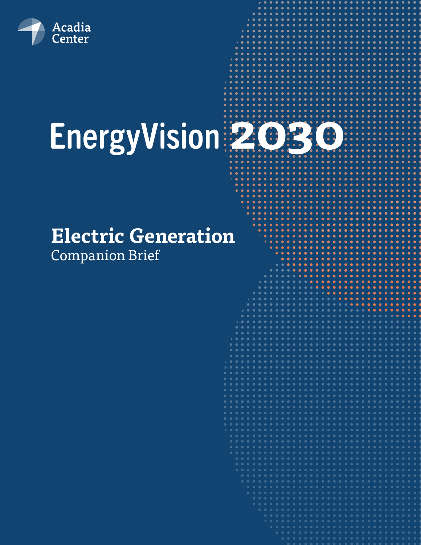

# EnergyVision 2030

## **Electric Generation**

Companion Brief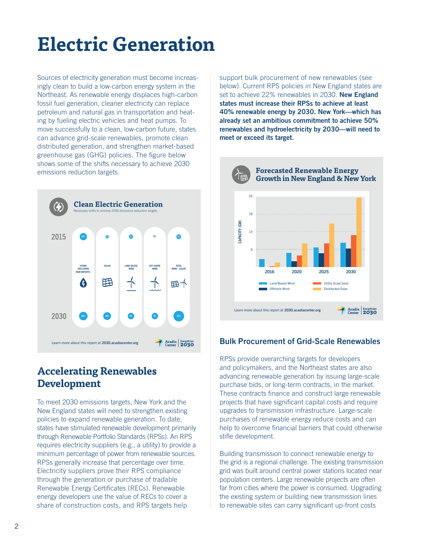### **Electric Generation**

Sources of electricity generation must become increasingly clean to build a low-carbon energy system in the Northeast. As renewable energy displaces high-carbon fossil fuel generation, cleaner electricity can replace petroleum and natural gas in transportation and heating by fueling electric vehicles and heat pumps. To move successfully to a clean, low-carbon future, states can advance grid-scale renewables, promote clean distributed generation, and strengthen market-based greenhouse gas (GHG) policies. The figure below shows some of the shifts necessary to achieve 2030 emissions reduction targets.



#### **Accelerating Renewables Development**

To meet 2030 emissions targets, New York and the New England states will need to strengthen existing policies to expand renewable generation. To date, states have stimulated renewable development primarily through Renewable Portfolio Standards (RPSs). An RPS requires electricity suppliers (e.g., a utility) to provide a minimum percentage of power from renewable sources. RPSs generally increase that percentage over time. Electricity suppliers prove their RPS compliance through the generation or purchase of tradable Renewable Energy Certificates (RECs). Renewable energy developers use the value of RECs to cover a share of construction costs, and RPS targets help

support bulk procurement of new renewables (see below). Current RPS policies in New England states are set to achieve 22% renewables in 2030. **New England states must increase their RPSs to achieve at least 40% renewable energy by 2030. New York—which has already set an ambitious commitment to achieve 50% renewables and hydroelectricity by 2030—will need to meet or exceed its target.**



#### Bulk Procurement of Grid-Scale Renewables

RPSs provide overarching targets for developers and policymakers, and the Northeast states are also advancing renewable generation by issuing large-scale purchase bids, or long-term contracts, in the market. These contracts finance and construct large renewable projects that have significant capital costs and require upgrades to transmission infrastructure. Large-scale purchases of renewable energy reduce costs and can help to overcome financial barriers that could otherwise stifle development.

Building transmission to connect renewable energy to the grid is a regional challenge. The existing transmission grid was built around central power stations located near population centers. Large renewable projects are often far from cities where the power is consumed. Upgrading the existing system or building new transmission lines to renewable sites can carry significant up-front costs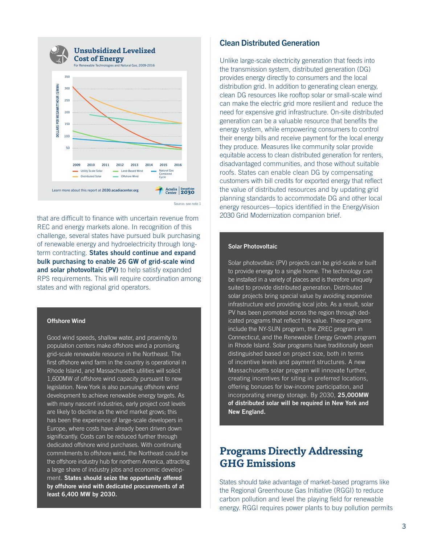

that are difficult to finance with uncertain revenue from REC and energy markets alone. In recognition of this challenge, several states have pursued bulk purchasing of renewable energy and hydroelectricity through longterm contracting. **States should continue and expand bulk purchasing to enable 26 GW of grid-scale wind**  and solar photovoltaic (PV) to help satisfy expanded RPS requirements. This will require coordination among

#### Offshore Wind

Good wind speeds, shallow water, and proximity to population centers make offshore wind a promising grid-scale renewable resource in the Northeast. The first offshore wind farm in the country is operational in Rhode Island, and Massachusetts utilities will solicit 1,600MW of offshore wind capacity pursuant to new legislation. New York is also pursuing offshore wind development to achieve renewable energy targets. As with many nascent industries, early project cost levels are likely to decline as the wind market grows; this has been the experience of large-scale developers in Europe, where costs have already been driven down significantly. Costs can be reduced further through dedicated offshore wind purchases. With continuing commitments to offshore wind, the Northeast could be the offshore industry hub for northern America, attracting a large share of industry jobs and economic development. **States should seize the opportunity offered by offshore wind with dedicated procurements of at least 6,400 MW by 2030.**

#### Clean Distributed Generation

Unlike large-scale electricity generation that feeds into the transmission system, distributed generation (DG) provides energy directly to consumers and the local distribution grid. In addition to generating clean energy, clean DG resources like rooftop solar or small-scale wind can make the electric grid more resilient and reduce the need for expensive grid infrastructure. On-site distributed generation can be a valuable resource that benefits the energy system, while empowering consumers to control their energy bills and receive payment for the local energy they produce. Measures like community solar provide equitable access to clean distributed generation for renters, disadvantaged communities, and those without suitable roofs. States can enable clean DG by compensating customers with bill credits for exported energy that reflect the value of distributed resources and by updating grid planning standards to accommodate DG and other local energy resources—topics identified in the EnergyVision 2030 Grid Modernization companion brief.

#### Solar Photovoltaic

Solar photovoltaic (PV) projects can be grid-scale or built to provide energy to a single home. The technology can be installed in a variety of places and is therefore uniquely suited to provide distributed generation. Distributed solar projects bring special value by avoiding expensive infrastructure and providing local jobs. As a result, solar PV has been promoted across the region through dedicated programs that reflect this value. These programs include the NY-SUN program, the ZREC program in Connecticut, and the Renewable Energy Growth program in Rhode Island. Solar programs have traditionally been distinguished based on project size, both in terms of incentive levels and payment structures. A new Massachusetts solar program will innovate further, creating incentives for siting in preferred locations, offering bonuses for low-income participation, and incorporating energy storage. By 2030, **25,000MW of distributed solar will be required in New York and New England.**

#### **Programs Directly Addressing GHG Emissions**

States should take advantage of market-based programs like the Regional Greenhouse Gas Initiative (RGGI) to reduce carbon pollution and level the playing field for renewable energy. RGGI requires power plants to buy pollution permits